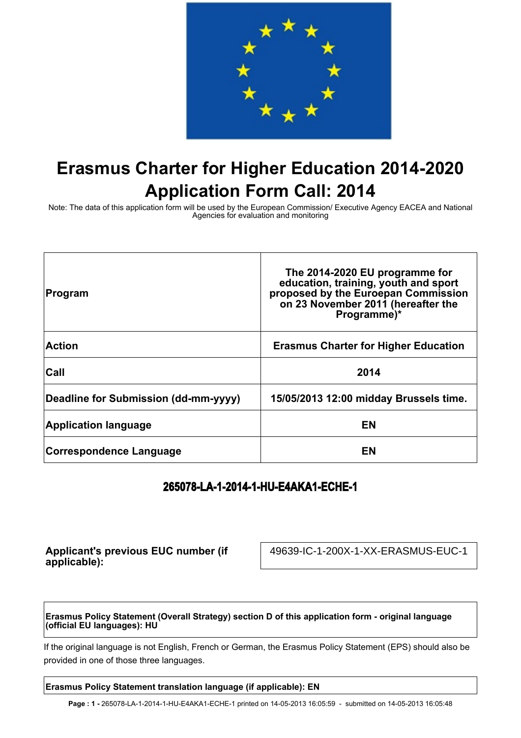

# **Erasmus Charter for Higher Education 2014-2020 Application Form Call: 2014**

Note: The data of this application form will be used by the European Commission/ Executive Agency EACEA and National Agencies for evaluation and monitoring

| Program                              | The 2014-2020 EU programme for<br>education, training, youth and sport<br>proposed by the Euroepan Commission<br>on 23 November 2011 (hereafter the<br>Programme)* |
|--------------------------------------|--------------------------------------------------------------------------------------------------------------------------------------------------------------------|
| <b>Action</b>                        | <b>Erasmus Charter for Higher Education</b>                                                                                                                        |
| Call                                 | 2014                                                                                                                                                               |
| Deadline for Submission (dd-mm-yyyy) | 15/05/2013 12:00 midday Brussels time.                                                                                                                             |
| <b>Application language</b>          | EN                                                                                                                                                                 |
| <b>Correspondence Language</b>       | EN                                                                                                                                                                 |

# **265078-LA-1-2014-1-HU-E4AKA1-ECHE-1**

**Applicant's previous EUC number (if applicable):**

49639-IC-1-200X-1-XX-ERASMUS-EUC-1

**Erasmus Policy Statement (Overall Strategy) section D of this application form - original language (official EU languages): HU**

If the original language is not English, French or German, the Erasmus Policy Statement (EPS) should also be provided in one of those three languages.

#### **Erasmus Policy Statement translation language (if applicable): EN**

**Page : 1 -** 265078-LA-1-2014-1-HU-E4AKA1-ECHE-1 printed on 14-05-2013 16:05:59 - submitted on 14-05-2013 16:05:48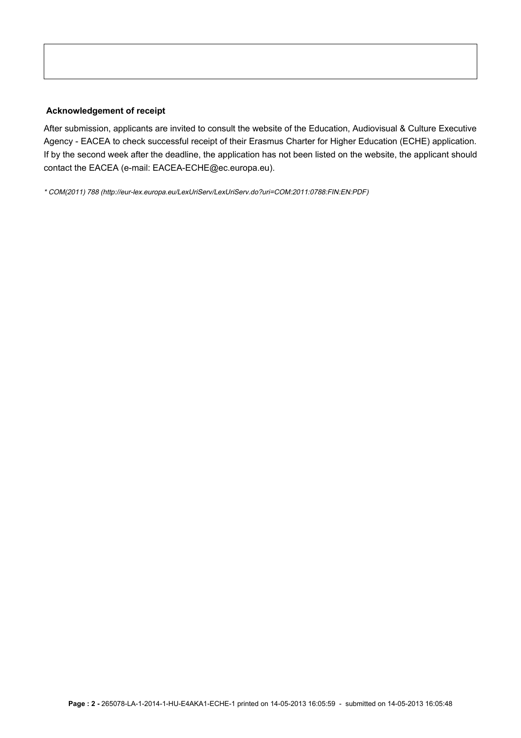#### **Acknowledgement of receipt**

After submission, applicants are invited to consult the website of the Education, Audiovisual & Culture Executive Agency - EACEA to check successful receipt of their Erasmus Charter for Higher Education (ECHE) application. If by the second week after the deadline, the application has not been listed on the website, the applicant should contact the EACEA (e-mail: EACEA-ECHE@ec.europa.eu).

\* COM(2011) 788 (http://eur-lex.europa.eu/LexUriServ/LexUriServ.do?uri=COM:2011:0788:FIN:EN:PDF)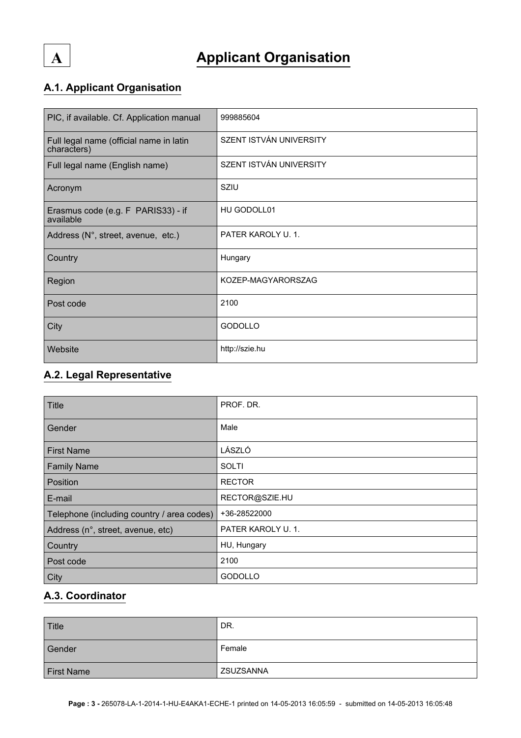# **A Applicant Organisation**

# **A.1. Applicant Organisation**

| PIC, if available. Cf. Application manual              | 999885604               |
|--------------------------------------------------------|-------------------------|
| Full legal name (official name in latin<br>characters) | SZENT ISTVÁN UNIVERSITY |
| Full legal name (English name)                         | SZENT ISTVÁN UNIVERSITY |
| Acronym                                                | SZIU                    |
| Erasmus code (e.g. F PARIS33) - if<br>available        | HU GODOLL01             |
| Address (N°, street, avenue, etc.)                     | PATER KAROLY U. 1.      |
| Country                                                | Hungary                 |
| Region                                                 | KOZEP-MAGYARORSZAG      |
| Post code                                              | 2100                    |
| City                                                   | <b>GODOLLO</b>          |
| Website                                                | http://szie.hu          |

### **A.2. Legal Representative**

| Title                                      | PROF. DR.         |
|--------------------------------------------|-------------------|
| Gender                                     | Male              |
| <b>First Name</b>                          | LÁSZLÓ            |
| <b>Family Name</b>                         | <b>SOLTI</b>      |
| Position                                   | <b>RECTOR</b>     |
| E-mail                                     | RECTOR@SZIE.HU    |
| Telephone (including country / area codes) | +36-28522000      |
| Address (n°, street, avenue, etc)          | PATER KAROLY U.1. |
| Country                                    | HU, Hungary       |
| Post code                                  | 2100              |
| City                                       | <b>GODOLLO</b>    |

#### **A.3. Coordinator**

| Title             | DR.              |
|-------------------|------------------|
| Gender            | Female           |
| <b>First Name</b> | <b>ZSUZSANNA</b> |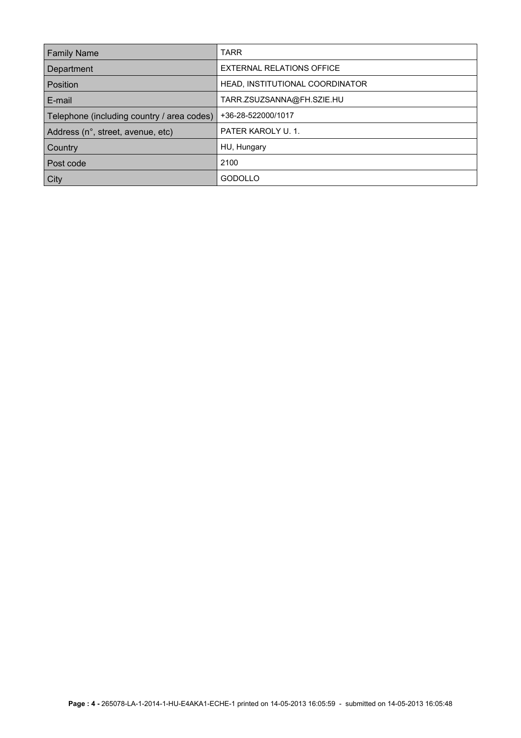| <b>Family Name</b>                         | <b>TARR</b>                     |
|--------------------------------------------|---------------------------------|
| Department                                 | EXTERNAL RELATIONS OFFICE       |
| Position                                   | HEAD, INSTITUTIONAL COORDINATOR |
| E-mail                                     | TARR.ZSUZSANNA@FH.SZIE.HU       |
| Telephone (including country / area codes) | +36-28-522000/1017              |
| Address (n°, street, avenue, etc)          | PATER KAROLY U. 1.              |
| <b>Country</b>                             | HU, Hungary                     |
| Post code                                  | 2100                            |
| <b>City</b>                                | <b>GODOLLO</b>                  |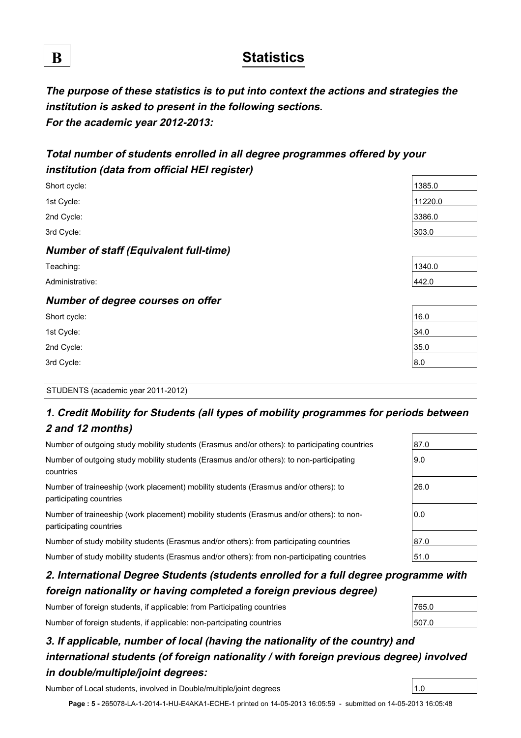# **B Statistics**

**The purpose of these statistics is to put into context the actions and strategies the institution is asked to present in the following sections. For the academic year 2012-2013:**

# **Total number of students enrolled in all degree programmes offered by your institution (data from official HEI register)**

| Short cycle:                                  | 1385.0  |
|-----------------------------------------------|---------|
| 1st Cycle:                                    | 11220.0 |
| 2nd Cycle:                                    | 3386.0  |
| 3rd Cycle:                                    | 303.0   |
| <b>Number of staff (Equivalent full-time)</b> |         |
| Teaching:                                     | 1340.0  |
| Administrative:                               | 442.0   |
| Number of degree courses on offer             |         |
| Short cycle:                                  | 16.0    |
| 1st Cycle:                                    | 34.0    |
| 2nd Cycle:                                    | 35.0    |
| 3rd Cycle:                                    | 8.0     |

#### STUDENTS (academic year 2011-2012)

## **1. Credit Mobility for Students (all types of mobility programmes for periods between 2 and 12 months)**

| Number of outgoing study mobility students (Erasmus and/or others): to participating countries                       | 87.0 |
|----------------------------------------------------------------------------------------------------------------------|------|
| Number of outgoing study mobility students (Erasmus and/or others): to non-participating<br>countries                | 9.0  |
| Number of traineeship (work placement) mobility students (Erasmus and/or others): to<br>participating countries      | 26.0 |
| Number of traineeship (work placement) mobility students (Erasmus and/or others): to non-<br>participating countries | 0.0  |
| Number of study mobility students (Erasmus and/or others): from participating countries                              | 87.0 |
| Number of study mobility students (Erasmus and/or others): from non-participating countries                          | 51.0 |

# **2. International Degree Students (students enrolled for a full degree programme with foreign nationality or having completed a foreign previous degree)**

Number of foreign students, if applicable: from Participating countries

Number of foreign students, if applicable: non-partcipating countries

# **3. If applicable, number of local (having the nationality of the country) and international students (of foreign nationality / with foreign previous degree) involved in double/multiple/joint degrees:**

Number of Local students, involved in Double/multiple/joint degrees 1.0

**Page : 5 -** 265078-LA-1-2014-1-HU-E4AKA1-ECHE-1 printed on 14-05-2013 16:05:59 - submitted on 14-05-2013 16:05:48

| 765.0 |  |
|-------|--|
| 507.0 |  |

| UJ.U  |  |
|-------|--|
|       |  |
|       |  |
|       |  |
| 340.0 |  |
| 42.0  |  |
|       |  |

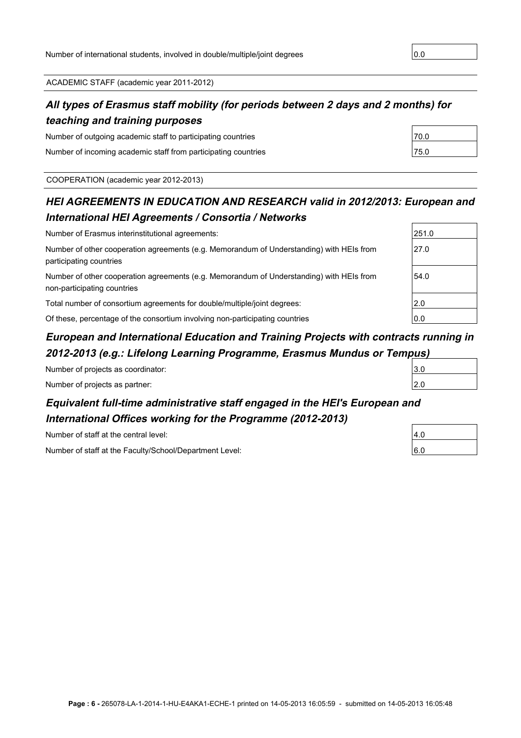ACADEMIC STAFF (academic year 2011-2012)

### **All types of Erasmus staff mobility (for periods between 2 days and 2 months) for teaching and training purposes**

Number of outgoing academic staff to participating countries  $\vert$ 70.0 Number of incoming academic staff from participating countries  $\vert$ 75.0

COOPERATION (academic year 2012-2013)

## **HEI AGREEMENTS IN EDUCATION AND RESEARCH valid in 2012/2013: European and International HEI Agreements / Consortia / Networks**

| Number of Erasmus interinstitutional agreements:                                                                        | 251.0 |
|-------------------------------------------------------------------------------------------------------------------------|-------|
| Number of other cooperation agreements (e.g. Memorandum of Understanding) with HEIs from<br>participating countries     | 27.0  |
| Number of other cooperation agreements (e.g. Memorandum of Understanding) with HEIs from<br>non-participating countries | 54.0  |
| Total number of consortium agreements for double/multiple/joint degrees:                                                | 2.0   |
| Of these, percentage of the consortium involving non-participating countries                                            | 0.0   |

### **European and International Education and Training Projects with contracts running in 2012-2013 (e.g.: Lifelong Learning Programme, Erasmus Mundus or Tempus)**

| _<br>- |                      |
|--------|----------------------|
|        | $\sim$ $\sim$<br>v.v |
|        | 2.U                  |

## **Equivalent full-time administrative staff engaged in the HEI's European and International Offices working for the Programme (2012-2013)**

Number of staff at the central level:

Number of projects as coordinator: Number of projects as partner:

Number of staff at the Faculty/School/Department Level: 6.0

| 251.0 |  |
|-------|--|
| 27.0  |  |
|       |  |
| 54.0  |  |
|       |  |
| 2.0   |  |
|       |  |

| D.U |  |
|-----|--|
| 2.0 |  |
|     |  |
| d   |  |

| 4.0 |  |
|-----|--|
|     |  |
| 3.O |  |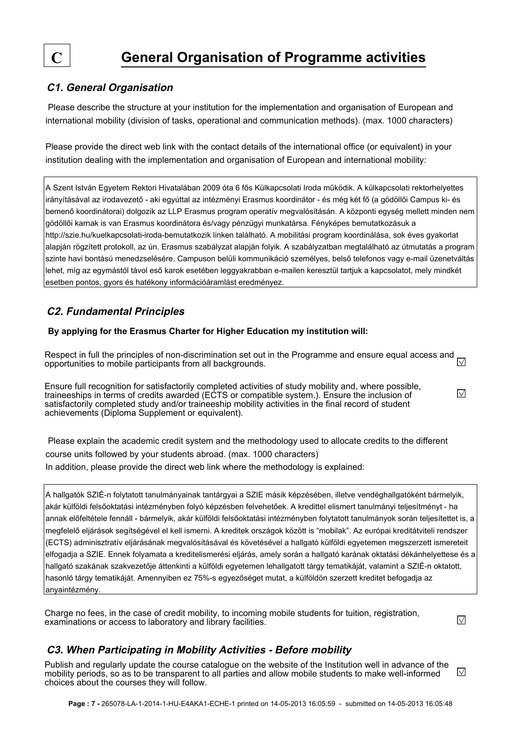

#### **C1. General Organisation**

 Please describe the structure at your institution for the implementation and organisation of European and international mobility (division of tasks, operational and communication methods). (max. 1000 characters)

Please provide the direct web link with the contact details of the international office (or equivalent) in your institution dealing with the implementation and organisation of European and international mobility:

A Szent István Egyetem Rektori Hivatalában 2009 óta 6 fős Külkapcsolati Iroda működik. A külkapcsolati rektorhelyettes irányításával az irodavezető - aki egyúttal az intézményi Erasmus koordinátor - és még két fő (a gödöllői Campus ki- és bemenő koordinátorai) dolgozik az LLP Erasmus program operatív megvalósításán. A központi egység mellett minden nem gödöllői karnak is van Erasmus koordinátora és/vagy pénzügyi munkatársa. Fényképes bemutatkozásuk a http://szie.hu/kuelkapcsolati-iroda-bemutatkozik linken található. A mobilitási program koordinálása, sok éves gyakorlat alapján rögzített protokoll, az ún. Erasmus szabályzat alapján folyik. A szabályzatban megtalálható az útmutatás a program szinte havi bontású menedzselésére. Campuson belüli kommunikáció személyes, belső telefonos vagy e-mail üzenetváltás lehet, míg az egymástól távol eső karok esetében leggyakrabban e-mailen keresztül tartjuk a kapcsolatot, mely mindkét esetben pontos, gyors és hatékony információáramlást eredményez.

#### **C2. Fundamental Principles**

#### **By applying for the Erasmus Charter for Higher Education my institution will:**

Respect in full the principles of non-discrimination set out in the Programme and ensure equal access and  $\overline{\vee}$ opportunities to mobile participants from all backgrounds.

Ensure full recognition for satisfactorily completed activities of study mobility and, where possible, traineeships in terms of credits awarded (ECTS or compatible system.). Ensure the inclusion of satisfactorily completed study and/or traineeship mobility activities in the final record of student achievements (Diploma Supplement or equivalent).

 Please explain the academic credit system and the methodology used to allocate credits to the different course units followed by your students abroad. (max. 1000 characters) In addition, please provide the direct web link where the methodology is explained:

A hallgatók SZIÉ-n folytatott tanulmányainak tantárgyai a SZIE másik képzésében, illetve vendéghallgatóként bármelyik, akár külföldi felsőoktatási intézményben folyó képzésben felvehetőek. A kredittel elismert tanulmányi teljesítményt - ha annak előfeltétele fennáll - bármelyik, akár külföldi felsőoktatási intézményben folytatott tanulmányok során teljesítettet is, a megfelelő eljárások segítségével el kell ismerni. A kreditek országok között is "mobilak". Az európai kreditátviteli rendszer (ECTS) adminisztratív eljárásának megvalósításával és követésével a hallgató külföldi egyetemen megszerzett ismereteit elfogadja a SZIE. Ennek folyamata a kreditelismerési eljárás, amely során a hallgató karának oktatási dékánhelyettese és a hallgató szakának szakvezetője áttenkinti a külföldi egyetemen lehallgatott tárgy tematikáját, valamint a SZIÉ-n oktatott, hasonló tárgy tematikáját. Amennyiben ez 75%-s egyezőséget mutat, a külföldön szerzett kreditet befogadja az anyaintézmény.

Charge no fees, in the case of credit mobility, to incoming mobile students for tuition, registration, examinations or access to laboratory and library facilities.

 $\sqrt{}$ 

 $\vee$ 

#### **C3. When Participating in Mobility Activities - Before mobility**

Publish and regularly update the course catalogue on the website of the Institution well in advance of the  $\sqrt{}$ mobility periods, so as to be transparent to all parties and allow mobile students to make well-informed choices about the courses they will follow.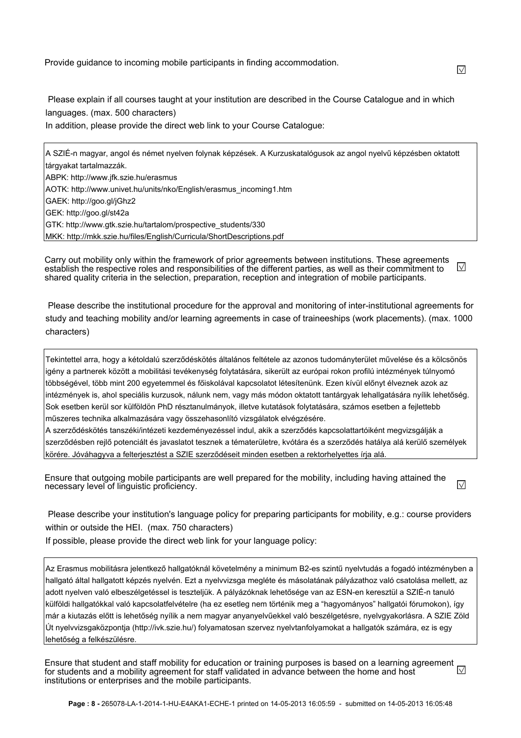Provide guidance to incoming mobile participants in finding accommodation.

 Please explain if all courses taught at your institution are described in the Course Catalogue and in which languages. (max. 500 characters)

In addition, please provide the direct web link to your Course Catalogue:

A SZIÉ-n magyar, angol és német nyelven folynak képzések. A Kurzuskatalógusok az angol nyelvű képzésben oktatott tárgyakat tartalmazzák. ABPK: http://www.jfk.szie.hu/erasmus AOTK: http://www.univet.hu/units/nko/English/erasmus\_incoming1.htm GAEK: http://goo.gl/jGhz2 GEK: http://goo.gl/st42a GTK: http://www.gtk.szie.hu/tartalom/prospective\_students/330 MKK: http://mkk.szie.hu/files/English/Curricula/ShortDescriptions.pdf

Carry out mobility only within the framework of prior agreements between institutions. These agreements  $\sqrt{}$ establish the respective roles and responsibilities of the different parties, as well as their commitment to shared quality criteria in the selection, preparation, reception and integration of mobile participants.

 Please describe the institutional procedure for the approval and monitoring of inter-institutional agreements for study and teaching mobility and/or learning agreements in case of traineeships (work placements). (max. 1000 characters)

Tekintettel arra, hogy a kétoldalú szerződéskötés általános feltétele az azonos tudományterület művelése és a kölcsönös igény a partnerek között a mobilitási tevékenység folytatására, sikerült az európai rokon profilú intézmények túlnyomó többségével, több mint 200 egyetemmel és főiskolával kapcsolatot létesítenünk. Ezen kívül előnyt élveznek azok az intézmények is, ahol speciális kurzusok, nálunk nem, vagy más módon oktatott tantárgyak lehallgatására nyílik lehetőség. Sok esetben kerül sor külföldön PhD résztanulmányok, illetve kutatások folytatására, számos esetben a fejlettebb műszeres technika alkalmazására vagy összehasonlító vizsgálatok elvégzésére.

A szerződéskötés tanszéki/intézeti kezdeményezéssel indul, akik a szerződés kapcsolattartóiként megvizsgálják a szerződésben rejlő potenciált és javaslatot tesznek a tématerületre, kvótára és a szerződés hatálya alá kerülő személyek körére. Jóváhagyva a felterjesztést a SZIE szerződéseit minden esetben a rektorhelyettes írja alá.

Ensure that outgoing mobile participants are well prepared for the mobility, including having attained the  $\sqrt{}$ necessary level of linguistic proficiency.

 Please describe your institution's language policy for preparing participants for mobility, e.g.: course providers within or outside the HEI. (max. 750 characters)

If possible, please provide the direct web link for your language policy:

Az Erasmus mobilitásra jelentkező hallgatóknál követelmény a minimum B2-es szintű nyelvtudás a fogadó intézményben a hallgató által hallgatott képzés nyelvén. Ezt a nyelvvizsga megléte és másolatának pályázathoz való csatolása mellett, az adott nyelven való elbeszélgetéssel is teszteljük. A pályázóknak lehetősége van az ESN-en keresztül a SZIÉ-n tanuló külföldi hallgatókkal való kapcsolatfelvételre (ha ez esetleg nem történik meg a "hagyományos" hallgatói fórumokon), így már a kiutazás előtt is lehetőség nyílik a nem magyar anyanyelvűekkel való beszélgetésre, nyelvgyakorlásra. A SZIE Zöld Út nyelvvizsgaközpontja (http://ivk.szie.hu/) folyamatosan szervez nyelvtanfolyamokat a hallgatók számára, ez is egy lehetőség a felkészülésre.

Ensure that student and staff mobility for education or training purposes is based on a learning agreement  $\Box$ for students and a mobility agreement for staff validated in advance between the home and host institutions or enterprises and the mobile participants.

 $\sqrt{}$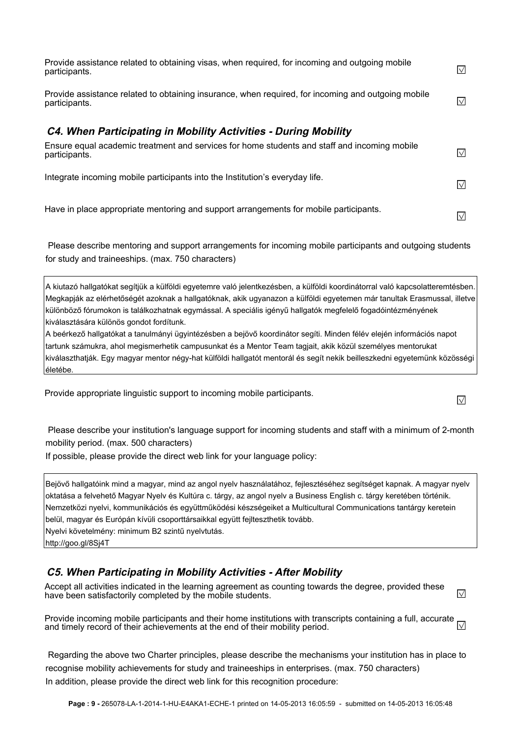| Provide assistance related to obtaining visas, when required, for incoming and outgoing mobile<br>participants.     | $\sqrt{}$         |
|---------------------------------------------------------------------------------------------------------------------|-------------------|
| Provide assistance related to obtaining insurance, when required, for incoming and outgoing mobile<br>participants. | $\sqrt{}$         |
| C4. When Participating in Mobility Activities - During Mobility                                                     |                   |
| Ensure equal academic treatment and services for home students and staff and incoming mobile<br>participants.       | $\vee$            |
| Integrate incoming mobile participants into the Institution's everyday life.                                        | $\overline{\vee}$ |
| Have in place appropriate mentoring and support arrangements for mobile participants.                               | $\vee$            |

 Please describe mentoring and support arrangements for incoming mobile participants and outgoing students for study and traineeships. (max. 750 characters)

A kiutazó hallgatókat segítjük a külföldi egyetemre való jelentkezésben, a külföldi koordinátorral való kapcsolatteremtésben. Megkapják az elérhetőségét azoknak a hallgatóknak, akik ugyanazon a külföldi egyetemen már tanultak Erasmussal, illetve különböző fórumokon is találkozhatnak egymással. A speciális igényű hallgatók megfelelő fogadóintézményének kiválasztására különös gondot fordítunk.

A beérkező hallgatókat a tanulmányi ügyintézésben a bejövő koordinátor segíti. Minden félév elején információs napot tartunk számukra, ahol megismerhetik campusunkat és a Mentor Team tagjait, akik közül személyes mentorukat kiválaszthatják. Egy magyar mentor négy-hat külföldi hallgatót mentorál és segít nekik beilleszkedni egyetemünk közösségi életébe.

Provide appropriate linguistic support to incoming mobile participants.

 $\sqrt{}$ 

 Please describe your institution's language support for incoming students and staff with a minimum of 2-month mobility period. (max. 500 characters)

If possible, please provide the direct web link for your language policy:

Bejövő hallgatóink mind a magyar, mind az angol nyelv használatához, fejlesztéséhez segítséget kapnak. A magyar nyelv oktatása a felvehető Magyar Nyelv és Kultúra c. tárgy, az angol nyelv a Business English c. tárgy keretében történik. Nemzetközi nyelvi, kommunikációs és együttműködési készségeiket a Multicultural Communications tantárgy keretein belül, magyar és Európán kívüli csoporttársaikkal együtt fejlteszthetik tovább. Nyelvi követelmény: minimum B2 szintű nyelvtutás.

http://goo.gl/8Sj4T

#### **C5. When Participating in Mobility Activities - After Mobility**

Accept all activities indicated in the learning agreement as counting towards the degree, provided these  $\sqrt{}$ have been satisfactorily completed by the mobile students.

Provide incoming mobile participants and their home institutions with transcripts containing a full, accurate  $\Box$ and timely record of their achievements at the end of their mobility period.

 Regarding the above two Charter principles, please describe the mechanisms your institution has in place to recognise mobility achievements for study and traineeships in enterprises. (max. 750 characters) In addition, please provide the direct web link for this recognition procedure: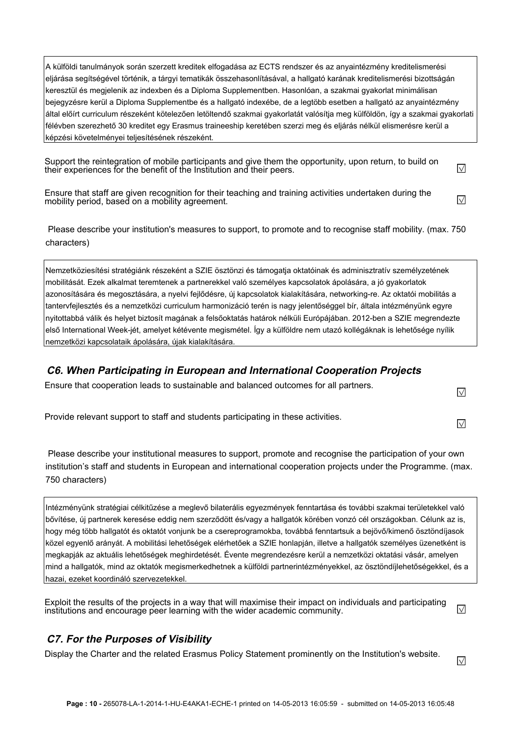A külföldi tanulmányok során szerzett kreditek elfogadása az ECTS rendszer és az anyaintézmény kreditelismerési eljárása segítségével történik, a tárgyi tematikák összehasonlításával, a hallgató karának kreditelismerési bizottságán keresztül és megjelenik az indexben és a Diploma Supplementben. Hasonlóan, a szakmai gyakorlat minimálisan bejegyzésre kerül a Diploma Supplementbe és a hallgató indexébe, de a legtöbb esetben a hallgató az anyaintézmény által előírt curriculum részeként kötelezően letöltendő szakmai gyakorlatát valósítja meg külföldön, így a szakmai gyakorlati félévben szerezhető 30 kreditet egy Erasmus traineeship keretében szerzi meg és eljárás nélkül elismerésre kerül a képzési követelményei teljesítésének részeként.

Support the reintegration of mobile participants and give them the opportunity, upon return, to build on their experiences for the benefit of the Institution and their peers.

Ensure that staff are given recognition for their teaching and training activities undertaken during the mobility period, based on a mobility agreement.

 Please describe your institution's measures to support, to promote and to recognise staff mobility. (max. 750 characters)

Nemzetköziesítési stratégiánk részeként a SZIE ösztönzi és támogatja oktatóinak és adminisztratív személyzetének mobilitását. Ezek alkalmat teremtenek a partnerekkel való személyes kapcsolatok ápolására, a jó gyakorlatok azonosítására és megosztására, a nyelvi fejlődésre, új kapcsolatok kialakítására, networking-re. Az oktatói mobilitás a tantervfejlesztés és a nemzetközi curriculum harmonizáció terén is nagy jelentőséggel bír, általa intézményünk egyre nyitottabbá válik és helyet biztosít magának a felsőoktatás határok nélküli Európájában. 2012-ben a SZIE megrendezte első International Week-jét, amelyet kétévente megismétel. Így a külföldre nem utazó kollégáknak is lehetősége nyílik nemzetközi kapcsolataik ápolására, újak kialakítására.

#### **C6. When Participating in European and International Cooperation Projects**

Ensure that cooperation leads to sustainable and balanced outcomes for all partners.

Provide relevant support to staff and students participating in these activities.

 Please describe your institutional measures to support, promote and recognise the participation of your own institution's staff and students in European and international cooperation projects under the Programme. (max. 750 characters)

Intézményünk stratégiai célkitűzése a meglevő bilaterális egyezmények fenntartása és további szakmai területekkel való bővítése, új partnerek keresése eddig nem szerződött és/vagy a hallgatók körében vonzó cél országokban. Célunk az is, hogy még több hallgatót és oktatót vonjunk be a csereprogramokba, továbbá fenntartsuk a bejövő/kimenő ösztöndíjasok közel egyenlő arányát. A mobilitási lehetőségek elérhetőek a SZIE honlapján, illetve a hallgatók személyes üzenetként is megkapják az aktuális lehetőségek meghirdetését. Évente megrendezésre kerül a nemzetközi oktatási vásár, amelyen mind a hallgatók, mind az oktatók megismerkedhetnek a külföldi partnerintézményekkel, az ösztöndíjlehetőségekkel, és a hazai, ezeket koordináló szervezetekkel.

Exploit the results of the projects in a way that will maximise their impact on individuals and participating  $\vee$ institutions and encourage peer learning with the wider academic community.

#### **C7. For the Purposes of Visibility**

Display the Charter and the related Erasmus Policy Statement prominently on the Institution's website.

 $\sqrt{}$ 

 $\sqrt{}$ 

 $\vee$ 

 $\vee$ 

 $\overline{\vee}$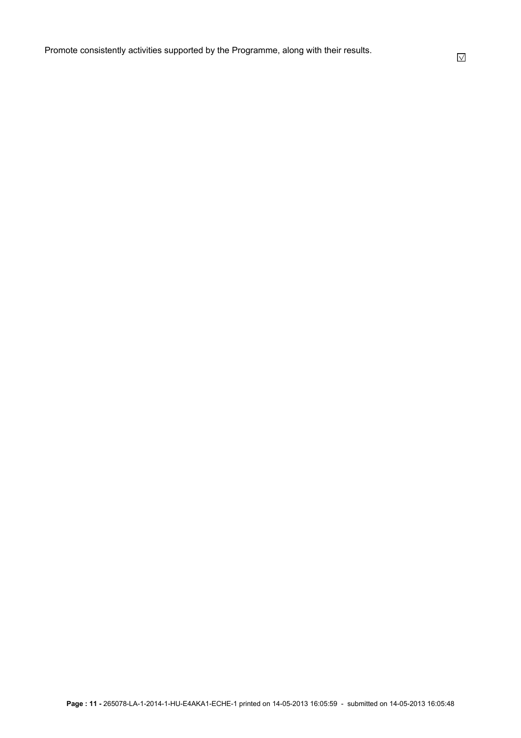Promote consistently activities supported by the Programme, along with their results.

 $\sqrt{}$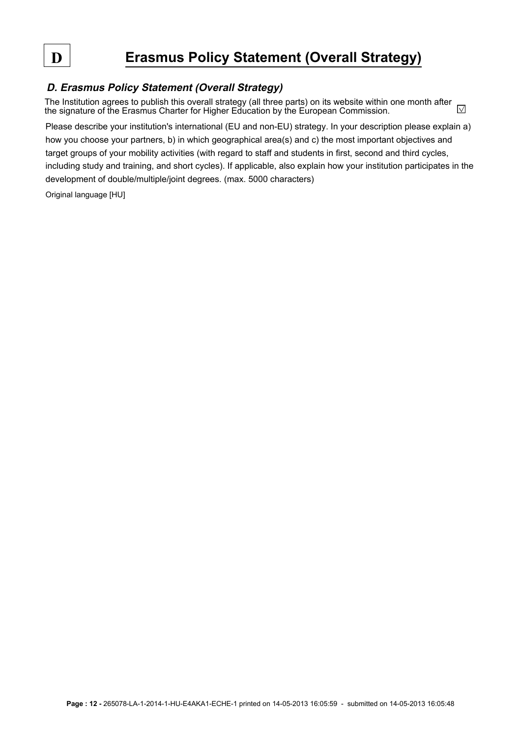# **D Erasmus Policy Statement (Overall Strategy)**

#### **D. Erasmus Policy Statement (Overall Strategy)**

The Institution agrees to publish this overall strategy (all three parts) on its website within one month after  $\sqrt{}$ the signature of the Erasmus Charter for Higher Education by the European Commission.

Please describe your institution's international (EU and non-EU) strategy. In your description please explain a) how you choose your partners, b) in which geographical area(s) and c) the most important objectives and target groups of your mobility activities (with regard to staff and students in first, second and third cycles, including study and training, and short cycles). If applicable, also explain how your institution participates in the development of double/multiple/joint degrees. (max. 5000 characters)

Original language [HU]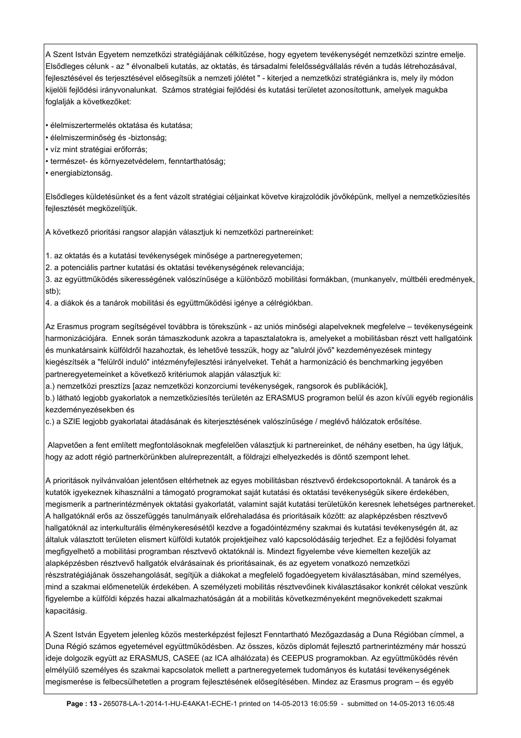A Szent István Egyetem nemzetközi stratégiájának célkitűzése, hogy egyetem tevékenységét nemzetközi szintre emelje. Elsődleges célunk - az " élvonalbeli kutatás, az oktatás, és társadalmi felelősségvállalás révén a tudás létrehozásával, fejlesztésével és terjesztésével elősegítsük a nemzeti jólétet " - kiterjed a nemzetközi stratégiánkra is, mely ily módon kijelöli fejlődési irányvonalunkat. Számos stratégiai fejlődési és kutatási területet azonosítottunk, amelyek magukba foglalják a következőket:

• élelmiszertermelés oktatása és kutatása;

- élelmiszerminőség és -biztonság;
- víz mint stratégiai erőforrás;
- természet- és környezetvédelem, fenntarthatóság;
- energiabiztonság.

Elsődleges küldetésünket és a fent vázolt stratégiai céljainkat követve kirajzolódik jövőképünk, mellyel a nemzetköziesítés feilesztését megközelítiük.

A következő prioritási rangsor alapján választjuk ki nemzetközi partnereinket:

1. az oktatás és a kutatási tevékenységek minősége a partneregyetemen;

2. a potenciális partner kutatási és oktatási tevékenységének relevanciája;

3. az együttműködés sikerességének valószínűsége a különböző mobilitási formákban, (munkanyelv, múltbéli eredmények, stb);

4. a diákok és a tanárok mobilitási és együttműködési igénye a célrégiókban.

Az Erasmus program segítségével továbbra is törekszünk - az uniós minőségi alapelveknek megfelelve – tevékenységeink harmonizációjára. Ennek során támaszkodunk azokra a tapasztalatokra is, amelyeket a mobilitásban részt vett hallgatóink és munkatársaink külföldről hazahoztak, és lehetővé tesszük, hogy az "alulról jövő" kezdeményezések mintegy kiegészítsék a "felülről induló" intézményfejlesztési irányelveket. Tehát a harmonizáció és benchmarking jegyében partneregyetemeinket a következő kritériumok alapján választjuk ki:

a.) nemzetközi presztízs [azaz nemzetközi konzorciumi tevékenységek, rangsorok és publikációk],

b.) látható legjobb gyakorlatok a nemzetköziesítés területén az ERASMUS programon belül és azon kívüli egyéb regionális kezdeményezésekben és

c.) a SZIE legjobb gyakorlatai átadásának és kiterjesztésének valószínűsége / meglévő hálózatok erősítése.

 Alapvetően a fent említett megfontolásoknak megfelelően választjuk ki partnereinket, de néhány esetben, ha úgy látjuk, hogy az adott régió partnerkörünkben alulreprezentált, a földrajzi elhelyezkedés is döntő szempont lehet.

A prioritások nyilvánvalóan jelentősen eltérhetnek az egyes mobilitásban résztvevő érdekcsoportoknál. A tanárok és a kutatók igyekeznek kihasználni a támogató programokat saját kutatási és oktatási tevékenységük sikere érdekében, megismerik a partnerintézmények oktatási gyakorlatát, valamint saját kutatási területükön keresnek lehetséges partnereket. A hallgatóknál erős az összefüggés tanulmányaik előrehaladása és prioritásaik között: az alapképzésben résztvevő hallgatóknál az interkulturális élménykeresésétől kezdve a fogadóintézmény szakmai és kutatási tevékenységén át, az általuk választott területen elismert külföldi kutatók projektjeihez való kapcsolódásáig terjedhet. Ez a fejlődési folyamat megfigyelhető a mobilitási programban résztvevő oktatóknál is. Mindezt figyelembe véve kiemelten kezeljük az alapképzésben résztvevő hallgatók elvárásainak és prioritásainak, és az egyetem vonatkozó nemzetközi részstratégiájának összehangolását, segítjük a diákokat a megfelelő fogadóegyetem kiválasztásában, mind személyes, mind a szakmai előmenetelük érdekében. A személyzeti mobilitás résztvevőinek kiválasztásakor konkrét célokat veszünk figyelembe a külföldi képzés hazai alkalmazhatóságán át a mobilitás következményeként megnövekedett szakmai kapacitásig.

A Szent István Egyetem jelenleg közös mesterképzést fejleszt Fenntartható Mezőgazdaság a Duna Régióban címmel, a Duna Régió számos egyetemével együttműködésben. Az összes, közös diplomát fejlesztő partnerintézmény már hosszú ideje dolgozik együtt az ERASMUS, CASEE (az ICA alhálózata) és CEEPUS programokban. Az együttműködés révén elmélyülő személyes és szakmai kapcsolatok mellett a partneregyetemek tudományos és kutatási tevékenységének megismerése is felbecsülhetetlen a program fejlesztésének elősegítésében. Mindez az Erasmus program – és egyéb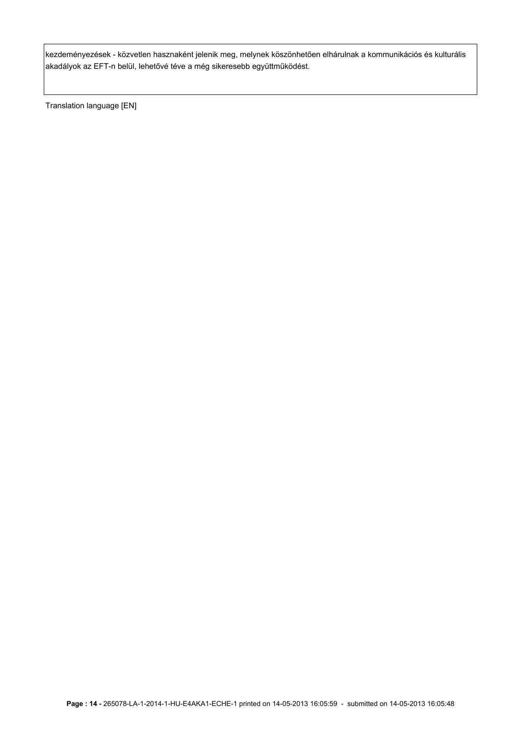kezdeményezések - közvetlen hasznaként jelenik meg, melynek köszönhetően elhárulnak a kommunikációs és kulturális akadályok az EFT-n belül, lehetővé téve a még sikeresebb együttműködést.

Translation language [EN]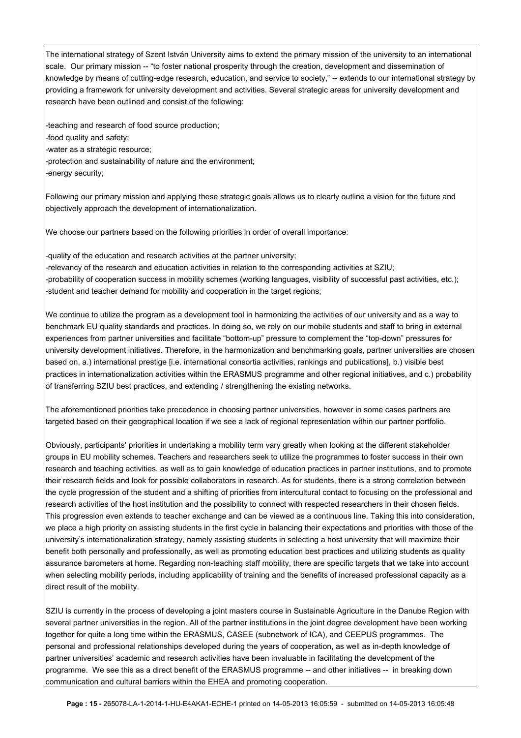The international strategy of Szent István University aims to extend the primary mission of the university to an international scale. Our primary mission -- "to foster national prosperity through the creation, development and dissemination of knowledge by means of cutting-edge research, education, and service to society," -- extends to our international strategy by providing a framework for university development and activities. Several strategic areas for university development and research have been outlined and consist of the following:

-teaching and research of food source production; -food quality and safety; -water as a strategic resource; -protection and sustainability of nature and the environment; -energy security;

Following our primary mission and applying these strategic goals allows us to clearly outline a vision for the future and objectively approach the development of internationalization.

We choose our partners based on the following priorities in order of overall importance:

-quality of the education and research activities at the partner university; -relevancy of the research and education activities in relation to the corresponding activities at SZIU; -probability of cooperation success in mobility schemes (working languages, visibility of successful past activities, etc.); -student and teacher demand for mobility and cooperation in the target regions;

We continue to utilize the program as a development tool in harmonizing the activities of our university and as a way to benchmark EU quality standards and practices. In doing so, we rely on our mobile students and staff to bring in external experiences from partner universities and facilitate "bottom-up" pressure to complement the "top-down" pressures for university development initiatives. Therefore, in the harmonization and benchmarking goals, partner universities are chosen based on, a.) international prestige [i.e. international consortia activities, rankings and publications], b.) visible best practices in internationalization activities within the ERASMUS programme and other regional initiatives, and c.) probability of transferring SZIU best practices, and extending / strengthening the existing networks.

The aforementioned priorities take precedence in choosing partner universities, however in some cases partners are targeted based on their geographical location if we see a lack of regional representation within our partner portfolio.

Obviously, participants' priorities in undertaking a mobility term vary greatly when looking at the different stakeholder groups in EU mobility schemes. Teachers and researchers seek to utilize the programmes to foster success in their own research and teaching activities, as well as to gain knowledge of education practices in partner institutions, and to promote their research fields and look for possible collaborators in research. As for students, there is a strong correlation between the cycle progression of the student and a shifting of priorities from intercultural contact to focusing on the professional and research activities of the host institution and the possibility to connect with respected researchers in their chosen fields. This progression even extends to teacher exchange and can be viewed as a continuous line. Taking this into consideration, we place a high priority on assisting students in the first cycle in balancing their expectations and priorities with those of the university's internationalization strategy, namely assisting students in selecting a host university that will maximize their benefit both personally and professionally, as well as promoting education best practices and utilizing students as quality assurance barometers at home. Regarding non-teaching staff mobility, there are specific targets that we take into account when selecting mobility periods, including applicability of training and the benefits of increased professional capacity as a direct result of the mobility.

SZIU is currently in the process of developing a joint masters course in Sustainable Agriculture in the Danube Region with several partner universities in the region. All of the partner institutions in the joint degree development have been working together for quite a long time within the ERASMUS, CASEE (subnetwork of ICA), and CEEPUS programmes. The personal and professional relationships developed during the years of cooperation, as well as in-depth knowledge of partner universities' academic and research activities have been invaluable in facilitating the development of the programme. We see this as a direct benefit of the ERASMUS programme -- and other initiatives -- in breaking down communication and cultural barriers within the EHEA and promoting cooperation.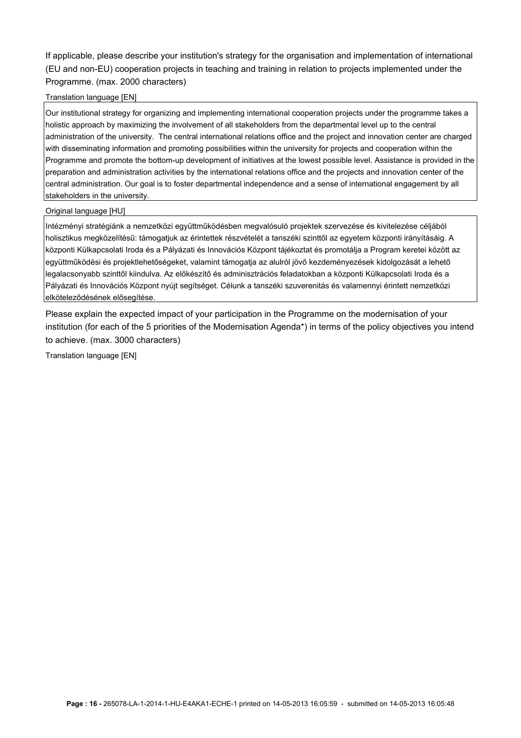If applicable, please describe your institution's strategy for the organisation and implementation of international (EU and non-EU) cooperation projects in teaching and training in relation to projects implemented under the Programme. (max. 2000 characters)

#### Translation language [EN]

Our institutional strategy for organizing and implementing international cooperation projects under the programme takes a holistic approach by maximizing the involvement of all stakeholders from the departmental level up to the central administration of the university. The central international relations office and the project and innovation center are charged with disseminating information and promoting possibilities within the university for projects and cooperation within the Programme and promote the bottom-up development of initiatives at the lowest possible level. Assistance is provided in the preparation and administration activities by the international relations office and the projects and innovation center of the central administration. Our goal is to foster departmental independence and a sense of international engagement by all stakeholders in the university.

#### Original language [HU]

Intézményi stratégiánk a nemzetközi együttműködésben megvalósuló projektek szervezése és kivitelezése céljából holisztikus megközelítésű: támogatjuk az érintettek részvételét a tanszéki szinttől az egyetem központi irányításáig. A központi Külkapcsolati Iroda és a Pályázati és Innovációs Központ tájékoztat és promotálja a Program keretei között az együttműködési és projektlehetőségeket, valamint támogatja az alulról jövő kezdeményezések kidolgozását a lehető legalacsonyabb szinttől kiindulva. Az előkészítő és adminisztrációs feladatokban a központi Külkapcsolati Iroda és a Pályázati és Innovációs Központ nyújt segítséget. Célunk a tanszéki szuverenitás és valamennyi érintett nemzetközi elköteleződésének elősegítése.

Please explain the expected impact of your participation in the Programme on the modernisation of your institution (for each of the 5 priorities of the Modernisation Agenda\*) in terms of the policy objectives you intend to achieve. (max. 3000 characters)

Translation language [EN]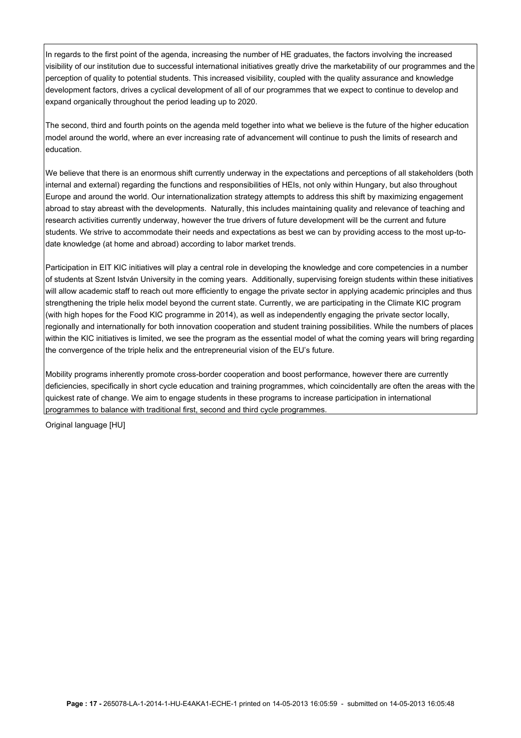In regards to the first point of the agenda, increasing the number of HE graduates, the factors involving the increased visibility of our institution due to successful international initiatives greatly drive the marketability of our programmes and the perception of quality to potential students. This increased visibility, coupled with the quality assurance and knowledge development factors, drives a cyclical development of all of our programmes that we expect to continue to develop and expand organically throughout the period leading up to 2020.

The second, third and fourth points on the agenda meld together into what we believe is the future of the higher education model around the world, where an ever increasing rate of advancement will continue to push the limits of research and education.

We believe that there is an enormous shift currently underway in the expectations and perceptions of all stakeholders (both internal and external) regarding the functions and responsibilities of HEIs, not only within Hungary, but also throughout Europe and around the world. Our internationalization strategy attempts to address this shift by maximizing engagement abroad to stay abreast with the developments. Naturally, this includes maintaining quality and relevance of teaching and research activities currently underway, however the true drivers of future development will be the current and future students. We strive to accommodate their needs and expectations as best we can by providing access to the most up-todate knowledge (at home and abroad) according to labor market trends.

Participation in EIT KIC initiatives will play a central role in developing the knowledge and core competencies in a number of students at Szent István University in the coming years. Additionally, supervising foreign students within these initiatives will allow academic staff to reach out more efficiently to engage the private sector in applying academic principles and thus strengthening the triple helix model beyond the current state. Currently, we are participating in the Climate KIC program (with high hopes for the Food KIC programme in 2014), as well as independently engaging the private sector locally, regionally and internationally for both innovation cooperation and student training possibilities. While the numbers of places within the KIC initiatives is limited, we see the program as the essential model of what the coming years will bring regarding the convergence of the triple helix and the entrepreneurial vision of the EU's future.

Mobility programs inherently promote cross-border cooperation and boost performance, however there are currently deficiencies, specifically in short cycle education and training programmes, which coincidentally are often the areas with the quickest rate of change. We aim to engage students in these programs to increase participation in international programmes to balance with traditional first, second and third cycle programmes.

Original language [HU]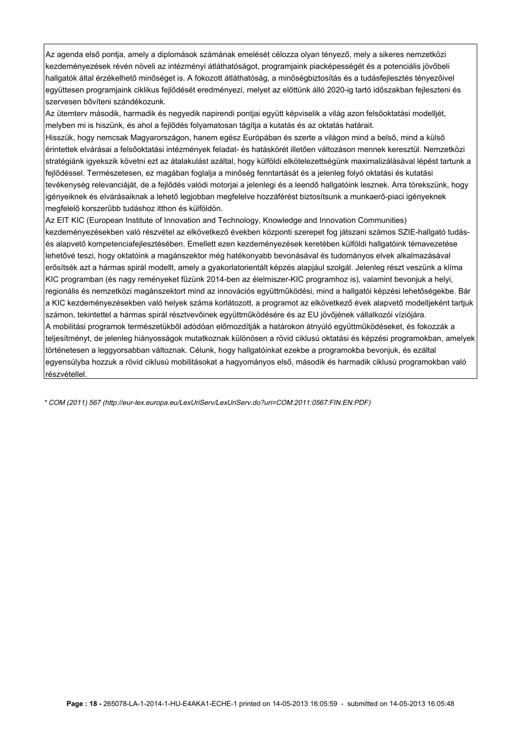Az agenda első pontja, amely a diplomások számának emelését célozza olyan tényező, mely a sikeres nemzetközi kezdeményezések révén növeli az intézményi átláthatóságot, programjaink piacképességét és a potenciális jövőbeli hallgatók által érzékelhető minőséget is. A fokozott átláthatóság, a minőségbiztosítás és a tudásfejlesztés tényezőivel együttesen programjaink ciklikus fejlődését eredményezi, melyet az előttünk álló 2020-ig tartó időszakban fejleszteni és szervesen bővíteni szándékozunk.

Az ütemterv második, harmadik és negyedik napirendi pontjai együtt képviselik a világ azon felsőoktatási modelljét, melyben mi is hiszünk, és ahol a fejlődés folyamatosan tágítja a kutatás és az oktatás határait.

Hisszük, hogy nemcsak Magyarországon, hanem egész Európában és szerte a világon mind a belső, mind a külső érintettek elvárásai a felsőoktatási intézmények feladat- és hatáskörét illetően változáson mennek keresztül. Nemzetközi stratégiánk igyekszik követni ezt az átalakulást azáltal, hogy külföldi elkötelezettségünk maximalizálásával lépést tartunk a fejlődéssel. Természetesen, ez magában foglalja a minőség fenntartását és a jelenleg folyó oktatási és kutatási tevékenység relevanciáját, de a fejlődés valódi motorjai a jelenlegi és a leendő hallgatóink lesznek. Arra törekszünk, hogy igényeiknek és elvárásaiknak a lehető legjobban megfelelve hozzáférést biztosítsunk a munkaerő-piaci igényeknek megfelelő korszerűbb tudáshoz itthon és külföldön.

Az EIT KIC (European Institute of Innovation and Technology, Knowledge and Innovation Communities) kezdeményezésekben való részvétel az elkövetkező években központi szerepet fog játszani számos SZIE-hallgató tudásés alapvető kompetenciafejlesztésében. Emellett ezen kezdeményezések keretében külföldi hallgatóink témavezetése lehetővé teszi, hogy oktatóink a magánszektor még hatékonyabb bevonásával és tudományos elvek alkalmazásával erősítsék azt a hármas spirál modellt, amely a gyakorlatorientált képzés alapjául szolgál. Jelenleg részt veszünk a klíma KIC programban (és nagy reményeket fűzünk 2014-ben az élelmiszer-KIC programhoz is), valamint bevonjuk a helyi, regionális és nemzetközi magánszektort mind az innovációs együttműködési, mind a hallgatói képzési lehetőségekbe. Bár a KIC kezdeményezésekben való helyek száma korlátozott, a programot az elkövetkező évek alapvető modelljeként tartjuk számon, tekintettel a hármas spirál résztvevőinek együttműködésére és az EU jövőjének vállalkozói víziójára. A mobilitási programok természetükből adódóan előmozdítják a határokon átnyúló együttműködéseket, és fokozzák a teljesítményt, de jelenleg hiányosságok mutatkoznak különösen a rövid ciklusú oktatási és képzési programokban, amelyek történetesen a leggyorsabban változnak. Célunk, hogy hallgatóinkat ezekbe a programokba bevonjuk, és ezáltal egyensúlyba hozzuk a rövid ciklusú mobilitásokat a hagyományos első, második és harmadik ciklusú programokban való részvétellel.

\* COM (2011) 567 (http://eur-lex.europa.eu/LexUriServ/LexUriServ.do?uri=COM:2011:0567:FIN:EN:PDF)